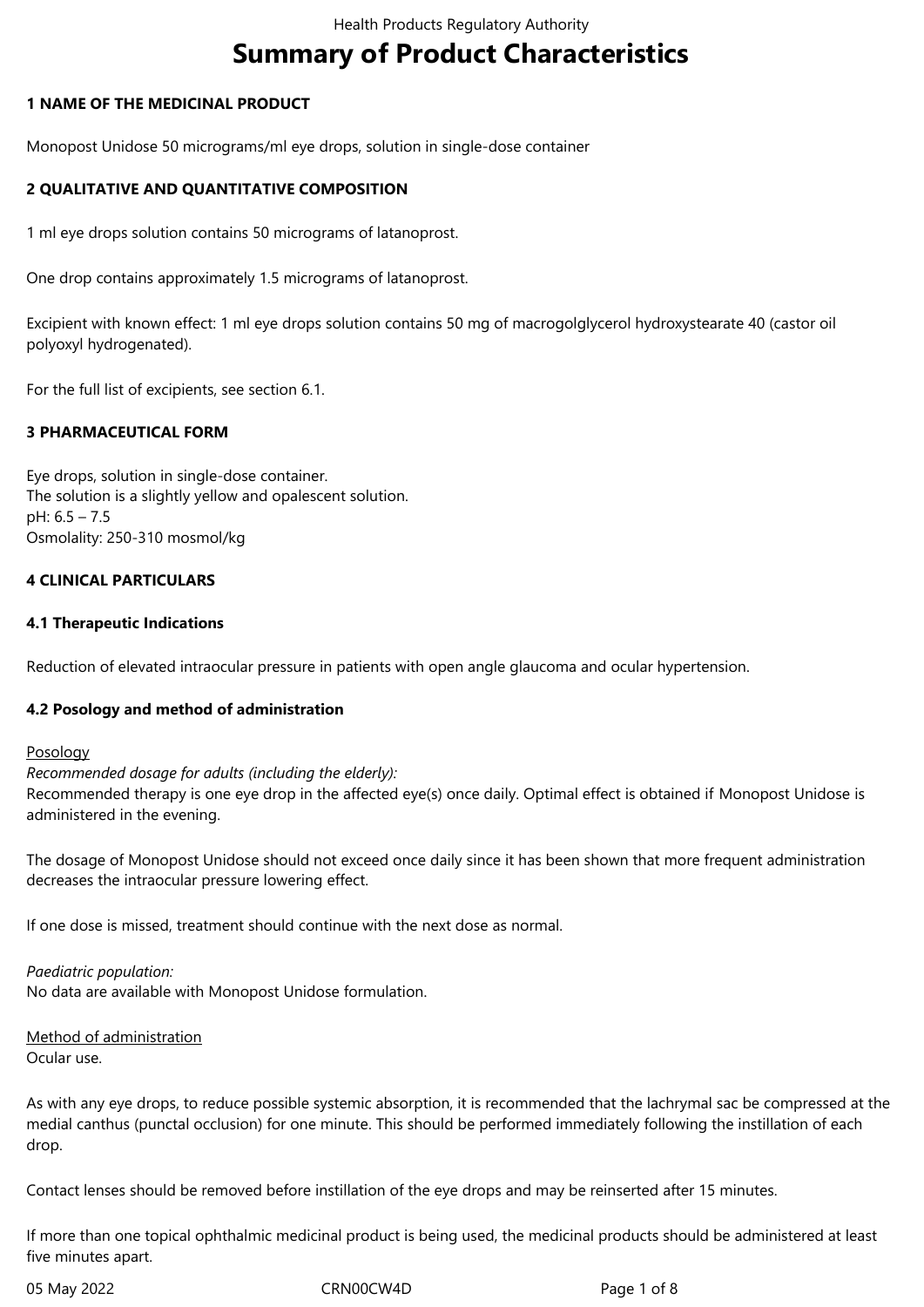# **Summary of Product Characteristics**

# **1 NAME OF THE MEDICINAL PRODUCT**

Monopost Unidose 50 micrograms/ml eye drops, solution in single-dose container

# **2 QUALITATIVE AND QUANTITATIVE COMPOSITION**

1 ml eye drops solution contains 50 micrograms of latanoprost.

One drop contains approximately 1.5 micrograms of latanoprost.

Excipient with known effect: 1 ml eye drops solution contains 50 mg of macrogolglycerol hydroxystearate 40 (castor oil polyoxyl hydrogenated).

For the full list of excipients, see section 6.1.

# **3 PHARMACEUTICAL FORM**

Eye drops, solution in single-dose container. The solution is a slightly yellow and opalescent solution. pH: 6.5 – 7.5 Osmolality: 250-310 mosmol/kg

# **4 CLINICAL PARTICULARS**

#### **4.1 Therapeutic Indications**

Reduction of elevated intraocular pressure in patients with open angle glaucoma and ocular hypertension.

#### **4.2 Posology and method of administration**

#### Posology

*Recommended dosage for adults (including the elderly):*

Recommended therapy is one eye drop in the affected eye(s) once daily. Optimal effect is obtained if Monopost Unidose is administered in the evening.

The dosage of Monopost Unidose should not exceed once daily since it has been shown that more frequent administration decreases the intraocular pressure lowering effect.

If one dose is missed, treatment should continue with the next dose as normal.

#### *Paediatric population:*

No data are available with Monopost Unidose formulation.

Method of administration Ocular use.

As with any eye drops, to reduce possible systemic absorption, it is recommended that the lachrymal sac be compressed at the medial canthus (punctal occlusion) for one minute. This should be performed immediately following the instillation of each drop.

Contact lenses should be removed before instillation of the eye drops and may be reinserted after 15 minutes.

If more than one topical ophthalmic medicinal product is being used, the medicinal products should be administered at least five minutes apart.

05 May 2022 **CRN00CW4D** CRN00CW4D Page 1 of 8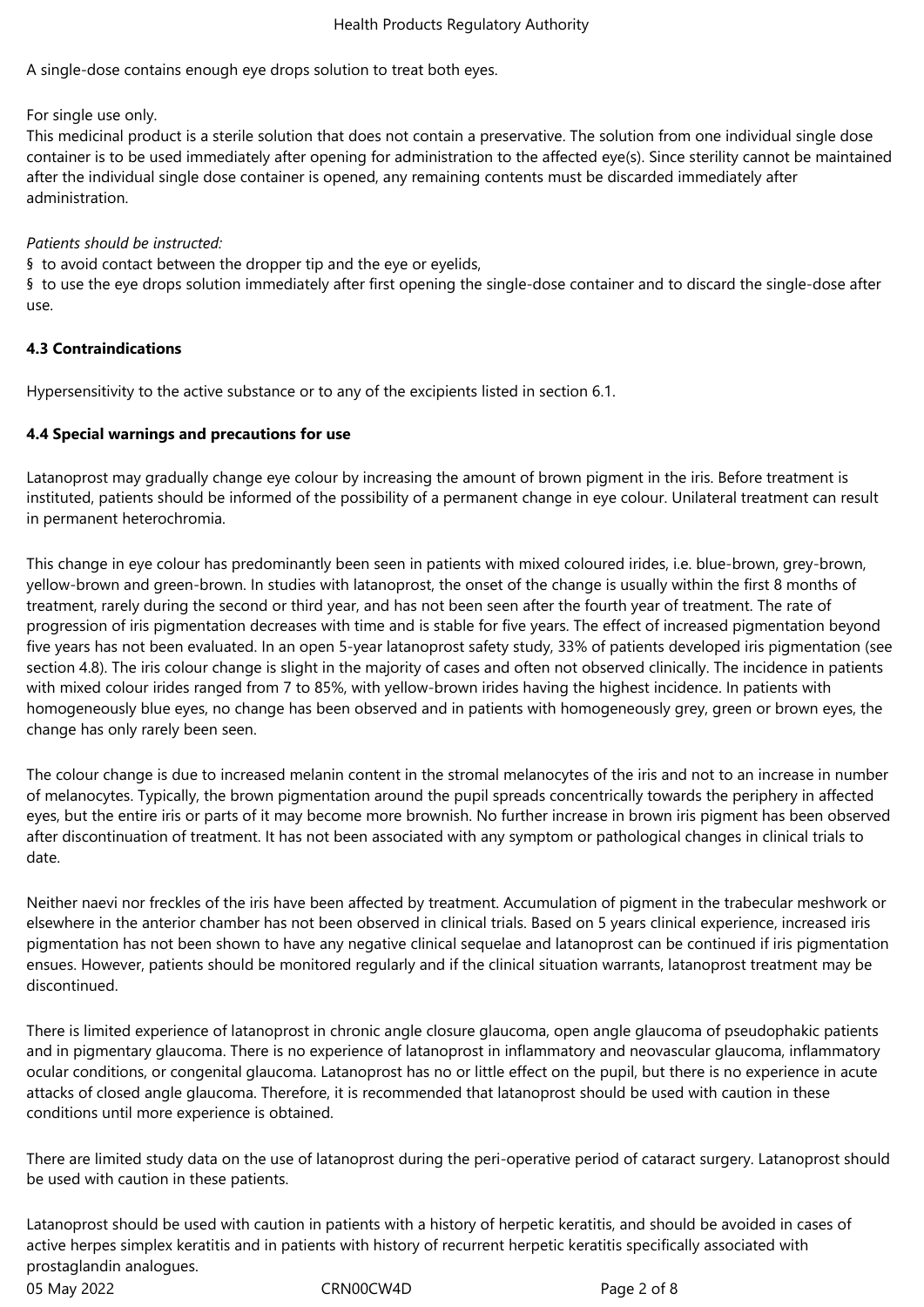A single-dose contains enough eye drops solution to treat both eyes.

For single use only.

This medicinal product is a sterile solution that does not contain a preservative. The solution from one individual single dose container is to be used immediately after opening for administration to the affected eye(s). Since sterility cannot be maintained after the individual single dose container is opened, any remaining contents must be discarded immediately after administration.

# *Patients should be instructed:*

§ to avoid contact between the dropper tip and the eye or eyelids,

§ to use the eye drops solution immediately after first opening the single-dose container and to discard the single-dose after use.

# **4.3 Contraindications**

Hypersensitivity to the active substance or to any of the excipients listed in section 6.1.

# **4.4 Special warnings and precautions for use**

Latanoprost may gradually change eye colour by increasing the amount of brown pigment in the iris. Before treatment is instituted, patients should be informed of the possibility of a permanent change in eye colour. Unilateral treatment can result in permanent heterochromia.

This change in eye colour has predominantly been seen in patients with mixed coloured irides, i.e. blue-brown, grey-brown, yellow-brown and green-brown. In studies with latanoprost, the onset of the change is usually within the first 8 months of treatment, rarely during the second or third year, and has not been seen after the fourth year of treatment. The rate of progression of iris pigmentation decreases with time and is stable for five years. The effect of increased pigmentation beyond five years has not been evaluated. In an open 5-year latanoprost safety study, 33% of patients developed iris pigmentation (see section 4.8). The iris colour change is slight in the majority of cases and often not observed clinically. The incidence in patients with mixed colour irides ranged from 7 to 85%, with yellow-brown irides having the highest incidence. In patients with homogeneously blue eyes, no change has been observed and in patients with homogeneously grey, green or brown eyes, the change has only rarely been seen.

The colour change is due to increased melanin content in the stromal melanocytes of the iris and not to an increase in number of melanocytes. Typically, the brown pigmentation around the pupil spreads concentrically towards the periphery in affected eyes, but the entire iris or parts of it may become more brownish. No further increase in brown iris pigment has been observed after discontinuation of treatment. It has not been associated with any symptom or pathological changes in clinical trials to date.

Neither naevi nor freckles of the iris have been affected by treatment. Accumulation of pigment in the trabecular meshwork or elsewhere in the anterior chamber has not been observed in clinical trials. Based on 5 years clinical experience, increased iris pigmentation has not been shown to have any negative clinical sequelae and latanoprost can be continued if iris pigmentation ensues. However, patients should be monitored regularly and if the clinical situation warrants, latanoprost treatment may be discontinued.

There is limited experience of latanoprost in chronic angle closure glaucoma, open angle glaucoma of pseudophakic patients and in pigmentary glaucoma. There is no experience of latanoprost in inflammatory and neovascular glaucoma, inflammatory ocular conditions, or congenital glaucoma. Latanoprost has no or little effect on the pupil, but there is no experience in acute attacks of closed angle glaucoma. Therefore, it is recommended that latanoprost should be used with caution in these conditions until more experience is obtained.

There are limited study data on the use of latanoprost during the peri-operative period of cataract surgery. Latanoprost should be used with caution in these patients.

05 May 2022 CRN00CW4D Page 2 of 8 Latanoprost should be used with caution in patients with a history of herpetic keratitis, and should be avoided in cases of active herpes simplex keratitis and in patients with history of recurrent herpetic keratitis specifically associated with prostaglandin analogues.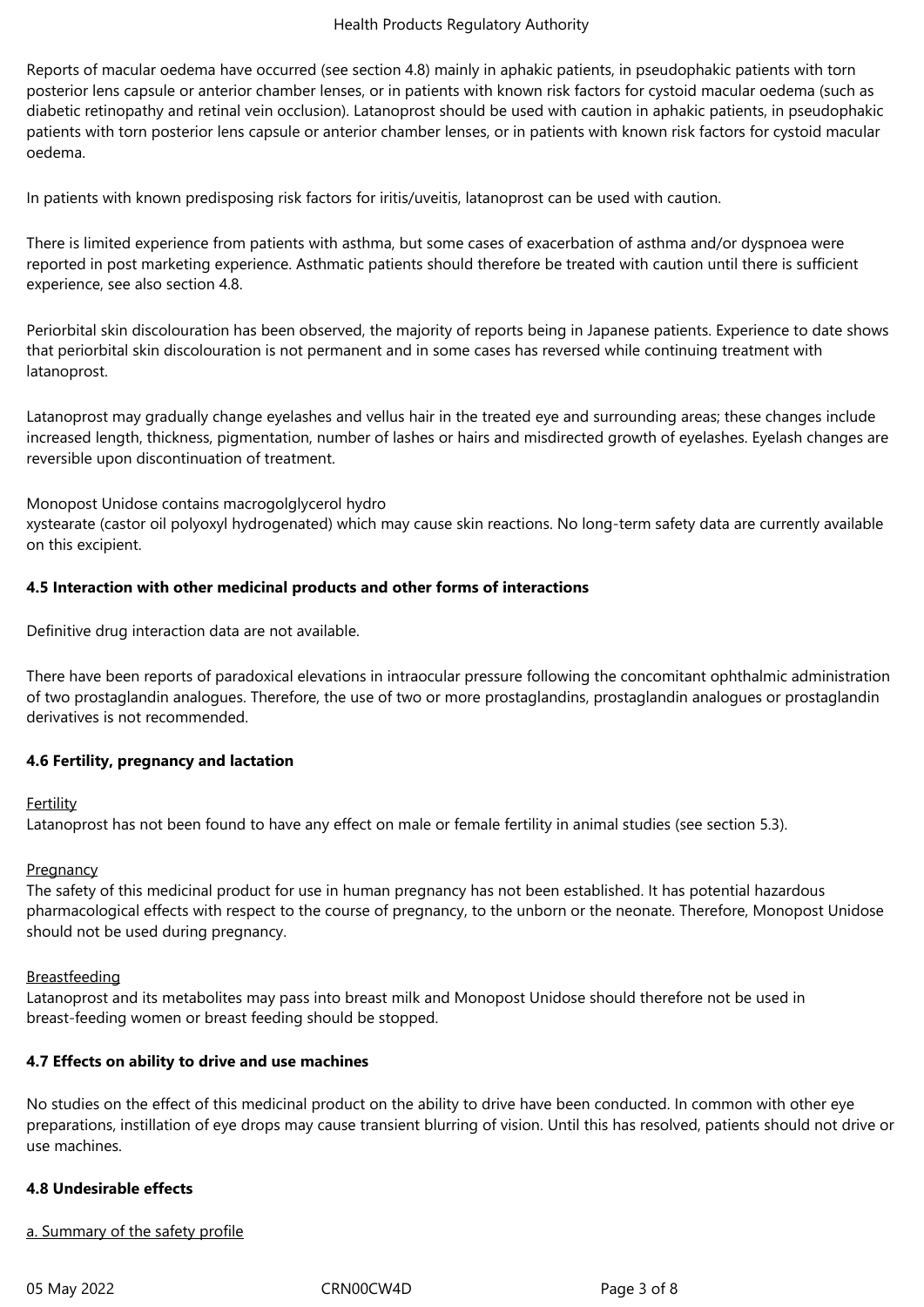#### Health Products Regulatory Authority

Reports of macular oedema have occurred (see section 4.8) mainly in aphakic patients, in pseudophakic patients with torn posterior lens capsule or anterior chamber lenses, or in patients with known risk factors for cystoid macular oedema (such as diabetic retinopathy and retinal vein occlusion). Latanoprost should be used with caution in aphakic patients, in pseudophakic patients with torn posterior lens capsule or anterior chamber lenses, or in patients with known risk factors for cystoid macular oedema.

In patients with known predisposing risk factors for iritis/uveitis, latanoprost can be used with caution.

There is limited experience from patients with asthma, but some cases of exacerbation of asthma and/or dyspnoea were reported in post marketing experience. Asthmatic patients should therefore be treated with caution until there is sufficient experience, see also section 4.8.

Periorbital skin discolouration has been observed, the majority of reports being in Japanese patients. Experience to date shows that periorbital skin discolouration is not permanent and in some cases has reversed while continuing treatment with latanoprost.

Latanoprost may gradually change eyelashes and vellus hair in the treated eye and surrounding areas; these changes include increased length, thickness, pigmentation, number of lashes or hairs and misdirected growth of eyelashes. Eyelash changes are reversible upon discontinuation of treatment.

Monopost Unidose contains macrogolglycerol hydro

xystearate (castor oil polyoxyl hydrogenated) which may cause skin reactions. No long-term safety data are currently available on this excipient.

# **4.5 Interaction with other medicinal products and other forms of interactions**

Definitive drug interaction data are not available.

There have been reports of paradoxical elevations in intraocular pressure following the concomitant ophthalmic administration of two prostaglandin analogues. Therefore, the use of two or more prostaglandins, prostaglandin analogues or prostaglandin derivatives is not recommended.

#### **4.6 Fertility, pregnancy and lactation**

## **Fertility**

Latanoprost has not been found to have any effect on male or female fertility in animal studies (see section 5.3).

#### **Pregnancy**

The safety of this medicinal product for use in human pregnancy has not been established. It has potential hazardous pharmacological effects with respect to the course of pregnancy, to the unborn or the neonate. Therefore, Monopost Unidose should not be used during pregnancy.

#### Breastfeeding

Latanoprost and its metabolites may pass into breast milk and Monopost Unidose should therefore not be used in breast-feeding women or breast feeding should be stopped.

#### **4.7 Effects on ability to drive and use machines**

No studies on the effect of this medicinal product on the ability to drive have been conducted. In common with other eye preparations, instillation of eye drops may cause transient blurring of vision. Until this has resolved, patients should not drive or use machines.

#### **4.8 Undesirable effects**

#### a. Summary of the safety profile

05 May 2022 CRN00CW4D CRNO0CW4D Page 3 of 8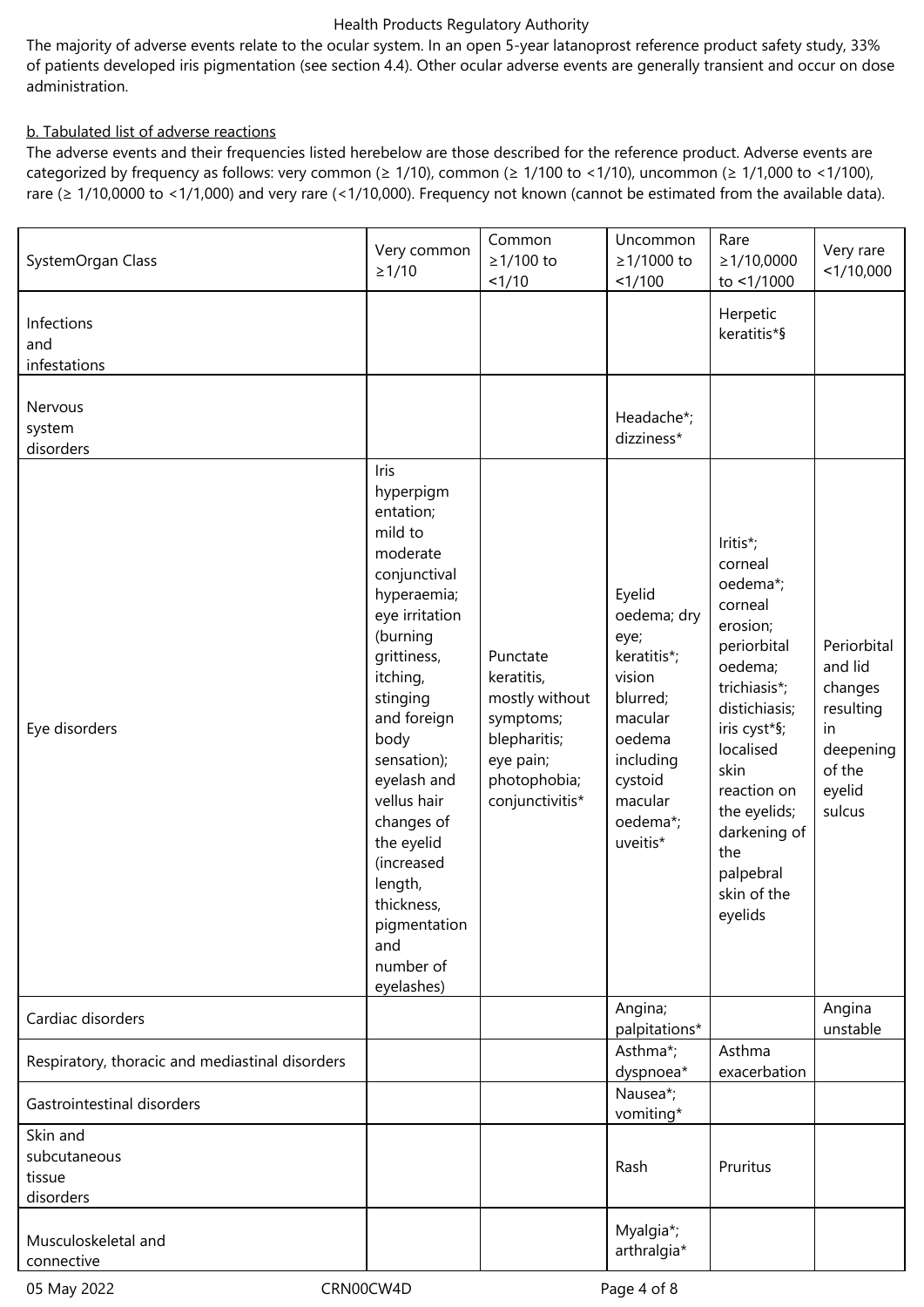#### Health Products Regulatory Authority

The majority of adverse events relate to the ocular system. In an open 5-year latanoprost reference product safety study, 33% of patients developed iris pigmentation (see section 4.4). Other ocular adverse events are generally transient and occur on dose administration.

# b. Tabulated list of adverse reactions

The adverse events and their frequencies listed herebelow are those described for the reference product. Adverse events are categorized by frequency as follows: very common ( $\geq 1/10$ ), common ( $\geq 1/100$  to <1/10), uncommon ( $\geq 1/1,000$  to <1/100), rare (≥ 1/10,0000 to <1/1,000) and very rare (<1/10,000). Frequency not known (cannot be estimated from the available data).

| SystemOrgan Class                               | Very common<br>$\geq$ 1/10                                                                                                                                                                                                                                                                                                                         | Common<br>≥1/100 to<br>1/10                                                                                           | Uncommon<br>≥1/1000 to<br>1/100                                                                                                                    | Rare<br>$\geq 1/10,0000$<br>to <1/1000                                                                                                                                                                                                              | Very rare<br><1/10,000                                                                          |
|-------------------------------------------------|----------------------------------------------------------------------------------------------------------------------------------------------------------------------------------------------------------------------------------------------------------------------------------------------------------------------------------------------------|-----------------------------------------------------------------------------------------------------------------------|----------------------------------------------------------------------------------------------------------------------------------------------------|-----------------------------------------------------------------------------------------------------------------------------------------------------------------------------------------------------------------------------------------------------|-------------------------------------------------------------------------------------------------|
| Infections<br>and<br>infestations               |                                                                                                                                                                                                                                                                                                                                                    |                                                                                                                       |                                                                                                                                                    | Herpetic<br>keratitis*§                                                                                                                                                                                                                             |                                                                                                 |
| Nervous<br>system<br>disorders                  |                                                                                                                                                                                                                                                                                                                                                    |                                                                                                                       | Headache*;<br>dizziness*                                                                                                                           |                                                                                                                                                                                                                                                     |                                                                                                 |
| Eye disorders                                   | Iris<br>hyperpigm<br>entation;<br>mild to<br>moderate<br>conjunctival<br>hyperaemia;<br>eye irritation<br>(burning<br>grittiness,<br>itching,<br>stinging<br>and foreign<br>body<br>sensation);<br>eyelash and<br>vellus hair<br>changes of<br>the eyelid<br>(increased<br>length,<br>thickness,<br>pigmentation<br>and<br>number of<br>eyelashes) | Punctate<br>keratitis,<br>mostly without<br>symptoms;<br>blepharitis;<br>eye pain;<br>photophobia;<br>conjunctivitis* | Eyelid<br>oedema; dry<br>eye;<br>keratitis*;<br>vision<br>blurred;<br>macular<br>oedema<br>including<br>cystoid<br>macular<br>oedema*;<br>uveitis* | Iritis*;<br>corneal<br>oedema*;<br>corneal<br>erosion;<br>periorbital<br>oedema;<br>trichiasis*;<br>distichiasis;<br>iris cyst*§;<br>localised<br>skin<br>reaction on<br>the eyelids;<br>darkening of<br>the<br>palpebral<br>skin of the<br>eyelids | Periorbital<br>and lid<br>changes<br>resulting<br>in<br>deepening<br>of the<br>eyelid<br>sulcus |
| Cardiac disorders                               |                                                                                                                                                                                                                                                                                                                                                    |                                                                                                                       | Angina;<br>palpitations*                                                                                                                           |                                                                                                                                                                                                                                                     | Angina<br>unstable                                                                              |
| Respiratory, thoracic and mediastinal disorders |                                                                                                                                                                                                                                                                                                                                                    |                                                                                                                       | Asthma*;<br>dyspnoea*                                                                                                                              | Asthma<br>exacerbation                                                                                                                                                                                                                              |                                                                                                 |
| Gastrointestinal disorders                      |                                                                                                                                                                                                                                                                                                                                                    |                                                                                                                       | Nausea*;<br>vomiting*                                                                                                                              |                                                                                                                                                                                                                                                     |                                                                                                 |
| Skin and<br>subcutaneous<br>tissue<br>disorders |                                                                                                                                                                                                                                                                                                                                                    |                                                                                                                       | Rash                                                                                                                                               | Pruritus                                                                                                                                                                                                                                            |                                                                                                 |
| Musculoskeletal and<br>connective               |                                                                                                                                                                                                                                                                                                                                                    |                                                                                                                       | Myalgia*;<br>arthralgia*                                                                                                                           |                                                                                                                                                                                                                                                     |                                                                                                 |

05 May 2022 CRN00CW4D CRN00CW4D Page 4 of 8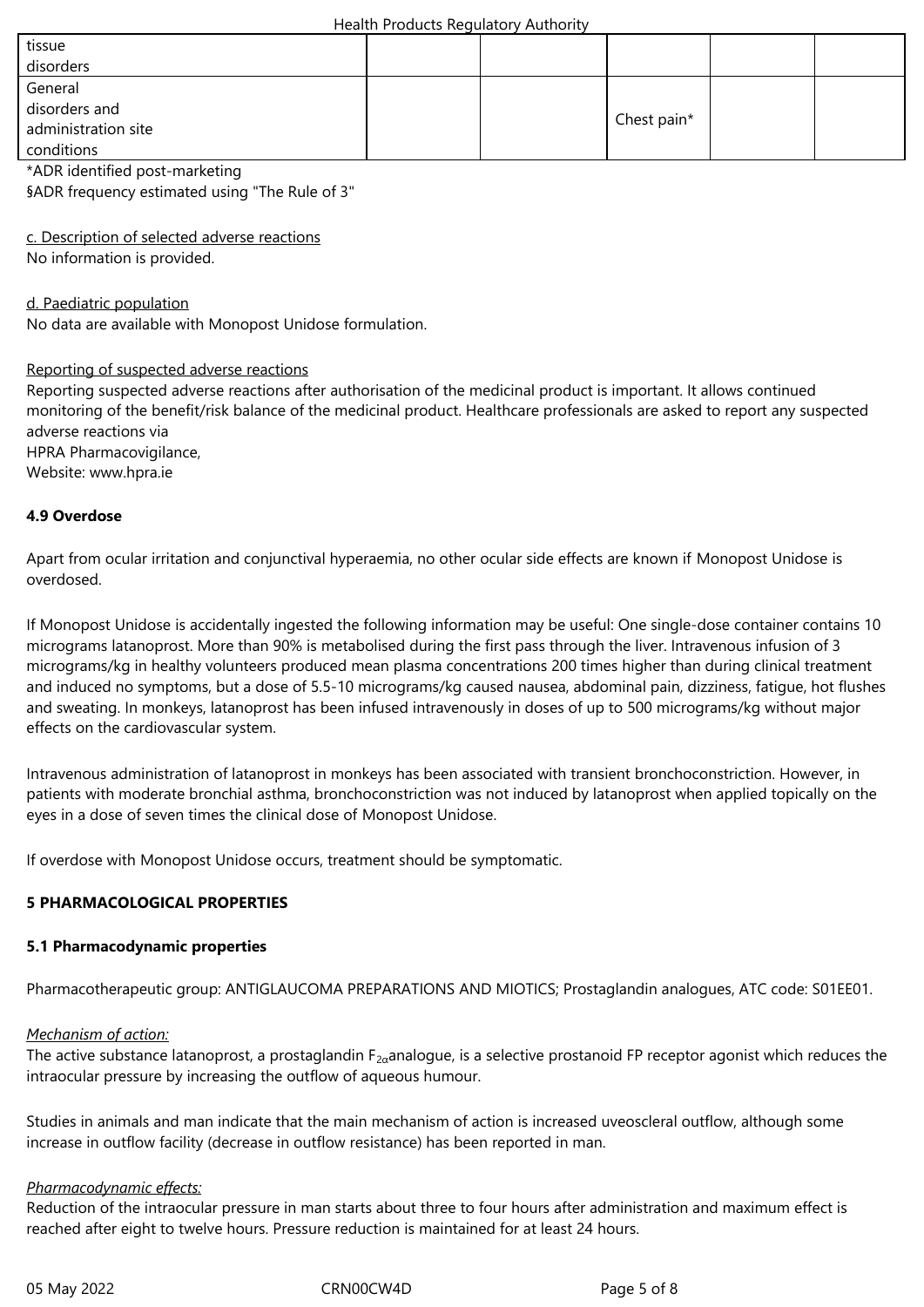| tissue              |  |             |  |
|---------------------|--|-------------|--|
| disorders           |  |             |  |
| General             |  |             |  |
| disorders and       |  |             |  |
| administration site |  | Chest pain* |  |
| conditions          |  |             |  |

\*ADR identified post-marketing

§ADR frequency estimated using "The Rule of 3"

c. Description of selected adverse reactions

No information is provided.

d. Paediatric population

No data are available with Monopost Unidose formulation.

#### Reporting of suspected adverse reactions

Reporting suspected adverse reactions after authorisation of the medicinal product is important. It allows continued monitoring of the benefit/risk balance of the medicinal product. Healthcare professionals are asked to report any suspected adverse reactions via HPRA Pharmacovigilance,

Website: www.hpra.ie

# **4.9 Overdose**

Apart from ocular irritation and conjunctival hyperaemia, no other ocular side effects are known if Monopost Unidose is overdosed.

If Monopost Unidose is accidentally ingested the following information may be useful: One single-dose container contains 10 micrograms latanoprost. More than 90% is metabolised during the first pass through the liver. Intravenous infusion of 3 micrograms/kg in healthy volunteers produced mean plasma concentrations 200 times higher than during clinical treatment and induced no symptoms, but a dose of 5.5-10 micrograms/kg caused nausea, abdominal pain, dizziness, fatigue, hot flushes and sweating. In monkeys, latanoprost has been infused intravenously in doses of up to 500 micrograms/kg without major effects on the cardiovascular system.

Intravenous administration of latanoprost in monkeys has been associated with transient bronchoconstriction. However, in patients with moderate bronchial asthma, bronchoconstriction was not induced by latanoprost when applied topically on the eyes in a dose of seven times the clinical dose of Monopost Unidose.

If overdose with Monopost Unidose occurs, treatment should be symptomatic.

# **5 PHARMACOLOGICAL PROPERTIES**

#### **5.1 Pharmacodynamic properties**

Pharmacotherapeutic group: ANTIGLAUCOMA PREPARATIONS AND MIOTICS; Prostaglandin analogues, ATC code: S01EE01.

#### *Mechanism of action:*

The active substance latanoprost, a prostaglandin  $F_{2\alpha}$ analogue, is a selective prostanoid FP receptor agonist which reduces the intraocular pressure by increasing the outflow of aqueous humour.

Studies in animals and man indicate that the main mechanism of action is increased uveoscleral outflow, although some increase in outflow facility (decrease in outflow resistance) has been reported in man.

#### *Pharmacodynamic effects:*

Reduction of the intraocular pressure in man starts about three to four hours after administration and maximum effect is reached after eight to twelve hours. Pressure reduction is maintained for at least 24 hours.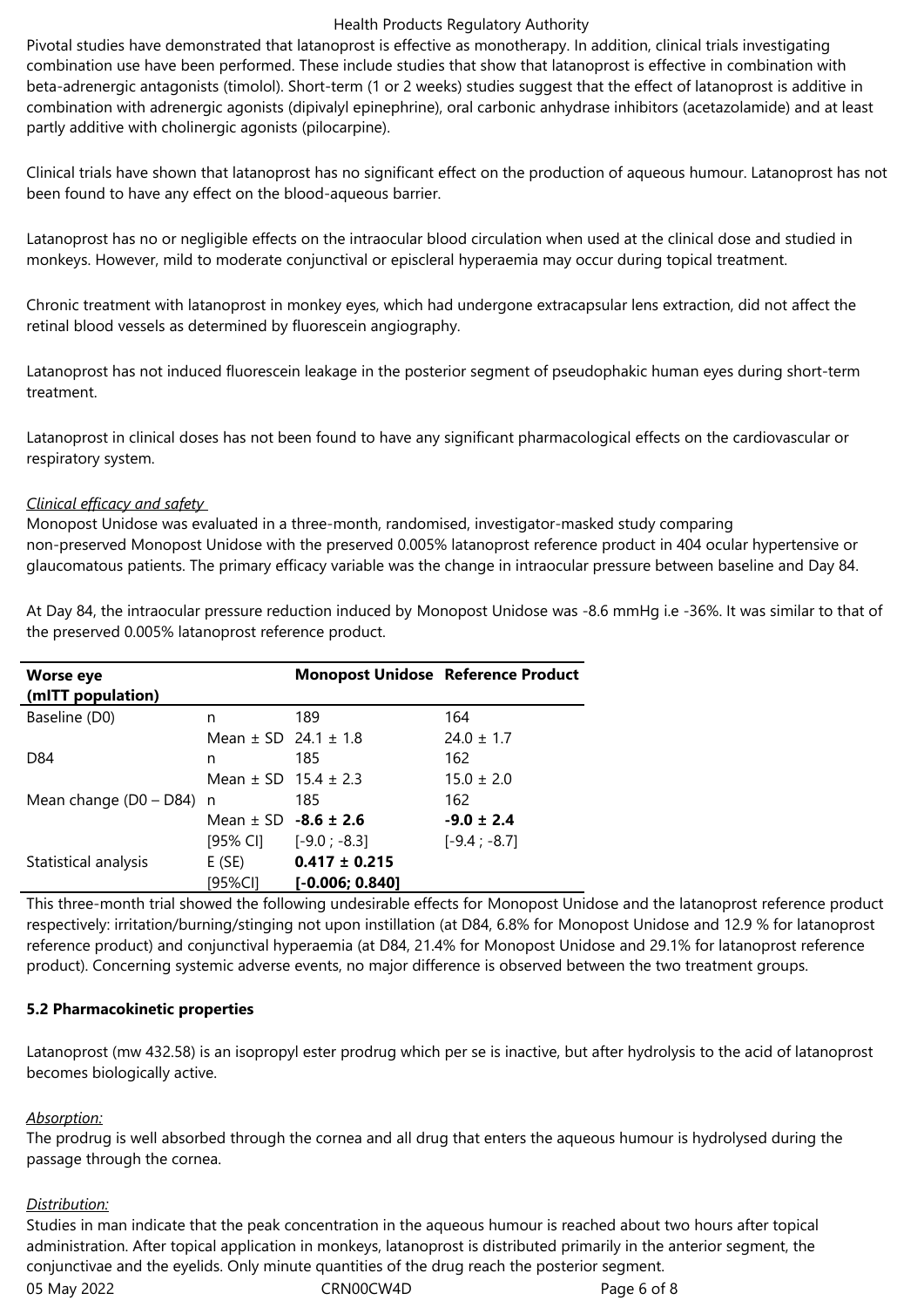#### Health Products Regulatory Authority

Pivotal studies have demonstrated that latanoprost is effective as monotherapy. In addition, clinical trials investigating combination use have been performed. These include studies that show that latanoprost is effective in combination with beta-adrenergic antagonists (timolol). Short-term (1 or 2 weeks) studies suggest that the effect of latanoprost is additive in combination with adrenergic agonists (dipivalyl epinephrine), oral carbonic anhydrase inhibitors (acetazolamide) and at least partly additive with cholinergic agonists (pilocarpine).

Clinical trials have shown that latanoprost has no significant effect on the production of aqueous humour. Latanoprost has not been found to have any effect on the blood-aqueous barrier.

Latanoprost has no or negligible effects on the intraocular blood circulation when used at the clinical dose and studied in monkeys. However, mild to moderate conjunctival or episcleral hyperaemia may occur during topical treatment.

Chronic treatment with latanoprost in monkey eyes, which had undergone extracapsular lens extraction, did not affect the retinal blood vessels as determined by fluorescein angiography.

Latanoprost has not induced fluorescein leakage in the posterior segment of pseudophakic human eyes during short-term treatment.

Latanoprost in clinical doses has not been found to have any significant pharmacological effects on the cardiovascular or respiratory system.

#### *Clinical efficacy and safety*

Monopost Unidose was evaluated in a three-month, randomised, investigator-masked study comparing non-preserved Monopost Unidose with the preserved 0.005% latanoprost reference product in 404 ocular hypertensive or glaucomatous patients. The primary efficacy variable was the change in intraocular pressure between baseline and Day 84.

At Day 84, the intraocular pressure reduction induced by Monopost Unidose was -8.6 mmHg i.e -36%. It was similar to that of the preserved 0.005% latanoprost reference product.

| <b>Worse eye</b>           |                                        | <b>Monopost Unidose Reference Product</b> |                |
|----------------------------|----------------------------------------|-------------------------------------------|----------------|
| (mITT population)          |                                        |                                           |                |
| Baseline (D0)              | n                                      | 189                                       | 164            |
|                            | Mean $\pm$ SD 24.1 $\pm$ 1.8           |                                           | $24.0 \pm 1.7$ |
| D84                        | n                                      | 185                                       | 162            |
|                            | Mean $\pm$ SD 15.4 $\pm$ 2.3           |                                           | $15.0 \pm 2.0$ |
| Mean change $(D0 - D84)$ n |                                        | 185                                       | 162            |
|                            | Mean $\pm$ SD -8.6 $\pm$ 2.6           |                                           | $-9.0 \pm 2.4$ |
|                            | $[95\% \text{ Cl}]$ $[-9.0 \div -8.3]$ |                                           | $[-9.4; -8.7]$ |
| Statistical analysis       | E (SE)                                 | $0.417 \pm 0.215$                         |                |
|                            | [95%CI]                                | $[-0.006; 0.840]$                         |                |

This three-month trial showed the following undesirable effects for Monopost Unidose and the latanoprost reference product respectively: irritation/burning/stinging not upon instillation (at D84, 6.8% for Monopost Unidose and 12.9 % for latanoprost reference product) and conjunctival hyperaemia (at D84, 21.4% for Monopost Unidose and 29.1% for latanoprost reference product). Concerning systemic adverse events, no major difference is observed between the two treatment groups.

#### **5.2 Pharmacokinetic properties**

Latanoprost (mw 432.58) is an isopropyl ester prodrug which per se is inactive, but after hydrolysis to the acid of latanoprost becomes biologically active.

#### *Absorption:*

The prodrug is well absorbed through the cornea and all drug that enters the aqueous humour is hydrolysed during the passage through the cornea.

#### *Distribution:*

05 May 2022 CRN00CW4D CRNO0CW4D Page 6 of 8 Studies in man indicate that the peak concentration in the aqueous humour is reached about two hours after topical administration. After topical application in monkeys, latanoprost is distributed primarily in the anterior segment, the conjunctivae and the eyelids. Only minute quantities of the drug reach the posterior segment.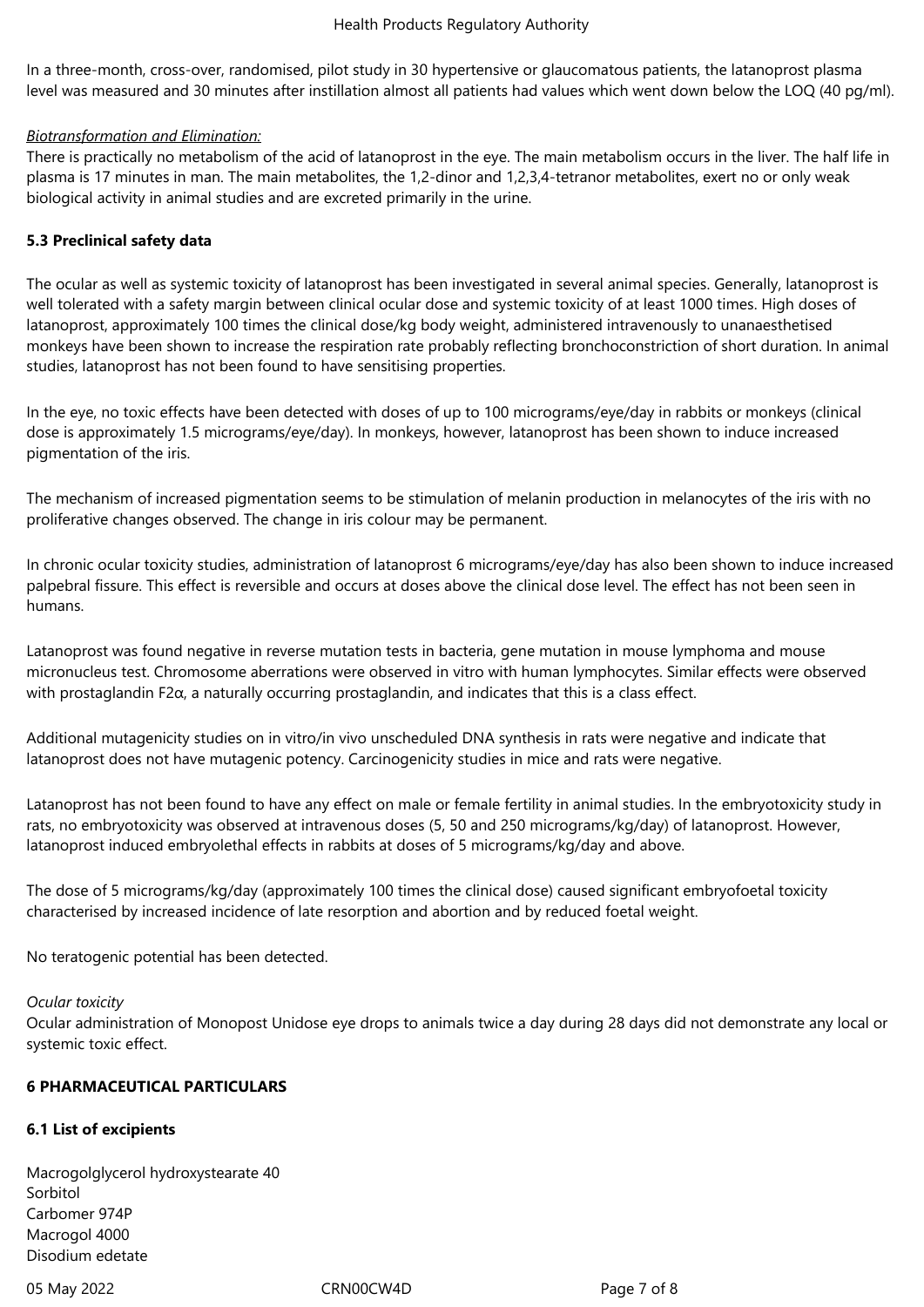In a three-month, cross-over, randomised, pilot study in 30 hypertensive or glaucomatous patients, the latanoprost plasma level was measured and 30 minutes after instillation almost all patients had values which went down below the LOQ (40 pg/ml).

# *Biotransformation and Elimination:*

There is practically no metabolism of the acid of latanoprost in the eye. The main metabolism occurs in the liver. The half life in plasma is 17 minutes in man. The main metabolites, the 1,2-dinor and 1,2,3,4-tetranor metabolites, exert no or only weak biological activity in animal studies and are excreted primarily in the urine.

# **5.3 Preclinical safety data**

The ocular as well as systemic toxicity of latanoprost has been investigated in several animal species. Generally, latanoprost is well tolerated with a safety margin between clinical ocular dose and systemic toxicity of at least 1000 times. High doses of latanoprost, approximately 100 times the clinical dose/kg body weight, administered intravenously to unanaesthetised monkeys have been shown to increase the respiration rate probably reflecting bronchoconstriction of short duration. In animal studies, latanoprost has not been found to have sensitising properties.

In the eye, no toxic effects have been detected with doses of up to 100 micrograms/eye/day in rabbits or monkeys (clinical dose is approximately 1.5 micrograms/eye/day). In monkeys, however, latanoprost has been shown to induce increased pigmentation of the iris.

The mechanism of increased pigmentation seems to be stimulation of melanin production in melanocytes of the iris with no proliferative changes observed. The change in iris colour may be permanent.

In chronic ocular toxicity studies, administration of latanoprost 6 micrograms/eye/day has also been shown to induce increased palpebral fissure. This effect is reversible and occurs at doses above the clinical dose level. The effect has not been seen in humans.

Latanoprost was found negative in reverse mutation tests in bacteria, gene mutation in mouse lymphoma and mouse micronucleus test. Chromosome aberrations were observed in vitro with human lymphocytes. Similar effects were observed with prostaglandin F2α, a naturally occurring prostaglandin, and indicates that this is a class effect.

Additional mutagenicity studies on in vitro/in vivo unscheduled DNA synthesis in rats were negative and indicate that latanoprost does not have mutagenic potency. Carcinogenicity studies in mice and rats were negative.

Latanoprost has not been found to have any effect on male or female fertility in animal studies. In the embryotoxicity study in rats, no embryotoxicity was observed at intravenous doses (5, 50 and 250 micrograms/kg/day) of latanoprost. However, latanoprost induced embryolethal effects in rabbits at doses of 5 micrograms/kg/day and above.

The dose of 5 micrograms/kg/day (approximately 100 times the clinical dose) caused significant embryofoetal toxicity characterised by increased incidence of late resorption and abortion and by reduced foetal weight.

No teratogenic potential has been detected.

#### *Ocular toxicity*

Ocular administration of Monopost Unidose eye drops to animals twice a day during 28 days did not demonstrate any local or systemic toxic effect.

# **6 PHARMACEUTICAL PARTICULARS**

# **6.1 List of excipients**

Macrogolglycerol hydroxystearate 40 Sorbitol Carbomer 974P Macrogol 4000 Disodium edetate

05 May 2022 CRN00CW4D CRN00CW4D Page 7 of 8